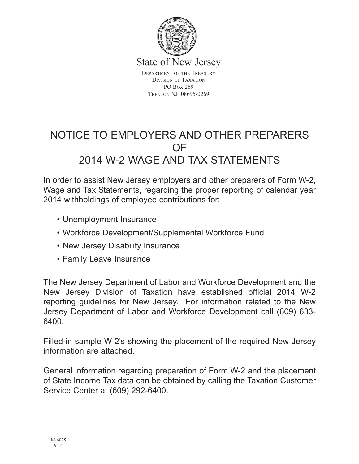

State of New Jersey

DEPARTMENT OF THE TREASURY DIVISION OF TAXATION PO BOX 269 TRENTON NJ 08695-0269

# NOTICE TO EMPLOYERS AND OTHER PREPARERS OF 2014 W-2 WAGE AND TAX STATEMENTS

In order to assist New Jersey employers and other preparers of Form W-2, Wage and Tax Statements, regarding the proper reporting of calendar year 2014 withholdings of employee contributions for:

- Unemployment Insurance
- Workforce Development/Supplemental Workforce Fund
- New Jersey Disability Insurance
- Family Leave Insurance

The New Jersey Department of Labor and Workforce Development and the New Jersey Division of Taxation have established official 2014 W-2 reporting guidelines for New Jersey. For information related to the New Jersey Department of Labor and Workforce Development call (609) 633- 6400.

Filled-in sample W-2's showing the placement of the required New Jersey information are attached.

General information regarding preparation of Form W-2 and the placement of State Income Tax data can be obtained by calling the Taxation Customer Service Center at (609) 292-6400.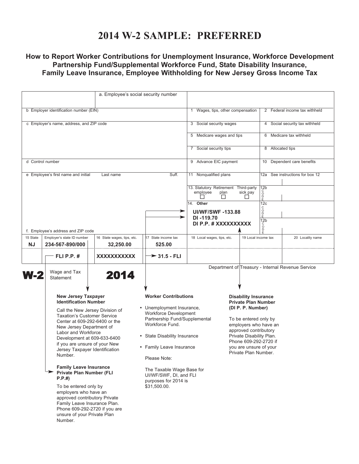### **2014 W-2 SAMPLE: PREFERRED**

### **How to Report Worker Contributions for Unemployment Insurance, Workforce Development Partnership Fund/Supplemental Workforce Fund, State Disability Insurance, Family Leave Insurance, Employee Withholding for New Jersey Gross Income Tax**

|                                                                                                                                                                                                                                                                                                                                                                                                                                                                                                                                                                                                          | a. Employee's social security number    |                                                                                                                                                                                                                                                                                                                         |                                                          |                                                                                                                                                                                                                                                                  |                                    |                                                   |  |
|----------------------------------------------------------------------------------------------------------------------------------------------------------------------------------------------------------------------------------------------------------------------------------------------------------------------------------------------------------------------------------------------------------------------------------------------------------------------------------------------------------------------------------------------------------------------------------------------------------|-----------------------------------------|-------------------------------------------------------------------------------------------------------------------------------------------------------------------------------------------------------------------------------------------------------------------------------------------------------------------------|----------------------------------------------------------|------------------------------------------------------------------------------------------------------------------------------------------------------------------------------------------------------------------------------------------------------------------|------------------------------------|---------------------------------------------------|--|
|                                                                                                                                                                                                                                                                                                                                                                                                                                                                                                                                                                                                          |                                         |                                                                                                                                                                                                                                                                                                                         |                                                          |                                                                                                                                                                                                                                                                  |                                    |                                                   |  |
| b Employer identification number (EIN)                                                                                                                                                                                                                                                                                                                                                                                                                                                                                                                                                                   |                                         |                                                                                                                                                                                                                                                                                                                         | 1                                                        | Wages, tips, other compensation                                                                                                                                                                                                                                  |                                    | 2 Federal income tax withheld                     |  |
| c Employer's name, address, and ZIP code                                                                                                                                                                                                                                                                                                                                                                                                                                                                                                                                                                 |                                         |                                                                                                                                                                                                                                                                                                                         |                                                          | 3 Social security wages                                                                                                                                                                                                                                          |                                    | 4 Social security tax withheld                    |  |
|                                                                                                                                                                                                                                                                                                                                                                                                                                                                                                                                                                                                          |                                         |                                                                                                                                                                                                                                                                                                                         | 5 Medicare wages and tips                                |                                                                                                                                                                                                                                                                  | 6 Medicare tax withheld            |                                                   |  |
|                                                                                                                                                                                                                                                                                                                                                                                                                                                                                                                                                                                                          | 7 Social security tips                  |                                                                                                                                                                                                                                                                                                                         | 8 Allocated tips                                         |                                                                                                                                                                                                                                                                  |                                    |                                                   |  |
| d Control number                                                                                                                                                                                                                                                                                                                                                                                                                                                                                                                                                                                         | 9 Advance EIC payment                   |                                                                                                                                                                                                                                                                                                                         | 10 Dependent care benefits                               |                                                                                                                                                                                                                                                                  |                                    |                                                   |  |
| Suff.<br>e Employee's first name and initial<br>Last name                                                                                                                                                                                                                                                                                                                                                                                                                                                                                                                                                |                                         |                                                                                                                                                                                                                                                                                                                         | 11 Nonqualified plans                                    |                                                                                                                                                                                                                                                                  | See instructions for box 12<br>12a |                                                   |  |
|                                                                                                                                                                                                                                                                                                                                                                                                                                                                                                                                                                                                          |                                         |                                                                                                                                                                                                                                                                                                                         | 13. Statutory Retirement Third-party<br>employee<br>plan | sick pay                                                                                                                                                                                                                                                         | 12 <sub>b</sub><br>ŏ<br>D          |                                                   |  |
| ⋗                                                                                                                                                                                                                                                                                                                                                                                                                                                                                                                                                                                                        |                                         |                                                                                                                                                                                                                                                                                                                         | 14. Other<br><b>UI/WF/SWF-133.88</b>                     |                                                                                                                                                                                                                                                                  | 12c<br>C<br>O<br>D<br>E            |                                                   |  |
| f. Employee's address and ZIP code                                                                                                                                                                                                                                                                                                                                                                                                                                                                                                                                                                       |                                         |                                                                                                                                                                                                                                                                                                                         | DI-119.70<br>DI P.P. # XXXXXXXXXX                        |                                                                                                                                                                                                                                                                  | 12 <sub>b</sub><br>Ó<br>Ď          |                                                   |  |
| 15 State<br>Employer's state ID number<br>NJ<br>234-567-890/000                                                                                                                                                                                                                                                                                                                                                                                                                                                                                                                                          | 16 State wages, tips, etc.<br>32,250.00 | 17 State income tax<br>525.00                                                                                                                                                                                                                                                                                           | 18 Local wages, tips, etc.                               | 19 Local income tax                                                                                                                                                                                                                                              |                                    | 20 Locality name                                  |  |
| <b>FLI P.P. #</b>                                                                                                                                                                                                                                                                                                                                                                                                                                                                                                                                                                                        | XXXXXXXXXXX                             | $\rightarrow$ 31.5 - FLI                                                                                                                                                                                                                                                                                                |                                                          |                                                                                                                                                                                                                                                                  |                                    |                                                   |  |
| Wage and Tax<br>W-2<br><b>Statement</b>                                                                                                                                                                                                                                                                                                                                                                                                                                                                                                                                                                  | 2014                                    |                                                                                                                                                                                                                                                                                                                         |                                                          |                                                                                                                                                                                                                                                                  |                                    | Department of Treasury - Internal Revenue Service |  |
| <b>New Jersey Taxpayer</b><br><b>Identification Number</b><br>Call the New Jersey Division of<br><b>Taxation's Customer Service</b><br>Center at 609-292-6400 or the<br>New Jersey Department of<br>Labor and Workforce<br>Development at 609-633-6400<br>if you are unsure of your New<br>Jersey Taxpayer Identification<br>Number.<br><b>Family Leave Insurance</b><br>Private Plan Number (FLI<br>P.P.#<br>To be entered only by<br>employers who have an<br>approved contributory Private<br>Family Leave Insurance Plan.<br>Phone 609-292-2720 if you are<br>unsure of your Private Plan<br>Number. |                                         | <b>Worker Contributions</b><br>• Unemployment Insurance,<br><b>Workforce Development</b><br>Partnership Fund/Supplemental<br>Workforce Fund.<br>• State Disability Insurance<br>• Family Leave Insurance<br>Please Note:<br>The Taxable Wage Base for<br>UI/WF/SWF, DI, and FLI<br>purposes for 2014 is<br>\$31,500.00. |                                                          | <b>Disability Insurance</b><br><b>Private Plan Number</b><br>(DI P. P. Number)<br>To be entered only by<br>employers who have an<br>approved contributory<br>Private Disability Plan.<br>Phone 609-292-2720 if<br>you are unsure of your<br>Private Plan Number. |                                    |                                                   |  |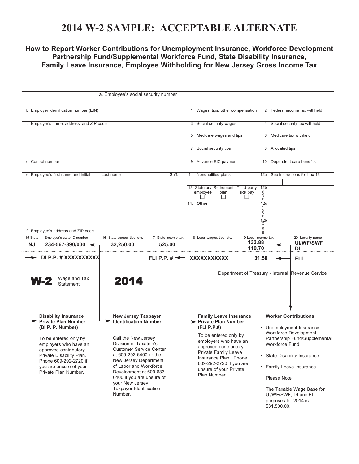## **2014 W-2 SAMPLE: ACCEPTABLE ALTERNATE**

### **How to Report Worker Contributions for Unemployment Insurance, Workforce Development Partnership Fund/Supplemental Workforce Fund, State Disability Insurance, Family Leave Insurance, Employee Withholding for New Jersey Gross Income Tax**

| b Employer identification number (EIN)                    |                                                                                                                                                                                                                                                                  |                                                                                                                                                                                                                                                                                                                                             |                                                                                   | 1 Wages, tips, other compensation                                                                                                                                                                                                                                      |                                                                               | 2 Federal income tax withheld                                                                                                                                                                                                                                                                                   |                                                   |  |
|-----------------------------------------------------------|------------------------------------------------------------------------------------------------------------------------------------------------------------------------------------------------------------------------------------------------------------------|---------------------------------------------------------------------------------------------------------------------------------------------------------------------------------------------------------------------------------------------------------------------------------------------------------------------------------------------|-----------------------------------------------------------------------------------|------------------------------------------------------------------------------------------------------------------------------------------------------------------------------------------------------------------------------------------------------------------------|-------------------------------------------------------------------------------|-----------------------------------------------------------------------------------------------------------------------------------------------------------------------------------------------------------------------------------------------------------------------------------------------------------------|---------------------------------------------------|--|
| c Employer's name, address, and ZIP code                  |                                                                                                                                                                                                                                                                  |                                                                                                                                                                                                                                                                                                                                             | 3 Social security wages                                                           |                                                                                                                                                                                                                                                                        | 4 Social security tax withheld                                                |                                                                                                                                                                                                                                                                                                                 |                                                   |  |
|                                                           |                                                                                                                                                                                                                                                                  |                                                                                                                                                                                                                                                                                                                                             |                                                                                   | 5 Medicare wages and tips                                                                                                                                                                                                                                              |                                                                               | 6 Medicare tax withheld                                                                                                                                                                                                                                                                                         |                                                   |  |
|                                                           |                                                                                                                                                                                                                                                                  |                                                                                                                                                                                                                                                                                                                                             |                                                                                   | 7 Social security tips                                                                                                                                                                                                                                                 |                                                                               | 8 Allocated tips                                                                                                                                                                                                                                                                                                |                                                   |  |
| d Control number                                          |                                                                                                                                                                                                                                                                  |                                                                                                                                                                                                                                                                                                                                             |                                                                                   | 9 Advance EIC payment                                                                                                                                                                                                                                                  |                                                                               | 10 Dependent care benefits                                                                                                                                                                                                                                                                                      |                                                   |  |
| e Employee's first name and initial<br>Suff.<br>Last name |                                                                                                                                                                                                                                                                  |                                                                                                                                                                                                                                                                                                                                             | 11 Nonqualified plans<br>13. Statutory Retirement Third-party<br>employee<br>plan | 12b<br>sick pay                                                                                                                                                                                                                                                        | 12a See instructions for box 12                                               |                                                                                                                                                                                                                                                                                                                 |                                                   |  |
|                                                           | f. Employee's address and ZIP code                                                                                                                                                                                                                               |                                                                                                                                                                                                                                                                                                                                             |                                                                                   | П<br>14. Other                                                                                                                                                                                                                                                         | C<br>D<br>D<br>E<br>$\Box$<br>12c<br>C<br>D<br>D<br>E<br>12 <sub>b</sub><br>° |                                                                                                                                                                                                                                                                                                                 |                                                   |  |
| 15 State<br><b>NJ</b>                                     | Employer's state ID number<br>$234 - 567 - 890/000$ $\leftarrow$                                                                                                                                                                                                 | 16 State wages, tips, etc.<br>32,250.00                                                                                                                                                                                                                                                                                                     | 17 State income tax<br>525.00                                                     | 18 Local wages, tips, etc.                                                                                                                                                                                                                                             | 19 Local income tax<br>133.88                                                 |                                                                                                                                                                                                                                                                                                                 | 20 Locality name<br><b>UI/WF/SWF</b>              |  |
|                                                           | DI P.P. # XXXXXXXXXX                                                                                                                                                                                                                                             |                                                                                                                                                                                                                                                                                                                                             | FLI P.P. $\sharp \preceq$                                                         | XXXXXXXXXXX                                                                                                                                                                                                                                                            | 119.70<br>31.50                                                               |                                                                                                                                                                                                                                                                                                                 | DI<br>FLI                                         |  |
|                                                           | Wage and Tax<br><b>W-2</b><br><b>Statement</b>                                                                                                                                                                                                                   | 2014                                                                                                                                                                                                                                                                                                                                        |                                                                                   |                                                                                                                                                                                                                                                                        |                                                                               |                                                                                                                                                                                                                                                                                                                 | Department of Treasury - Internal Revenue Service |  |
|                                                           | <b>Disability Insurance</b><br><b>Private Plan Number</b><br>(DI P. P. Number)<br>To be entered only by<br>employers who have an<br>approved contributory<br>Private Disability Plan.<br>Phone 609-292-2720 if<br>you are unsure of your<br>Private Plan Number. | <b>New Jersey Taxpayer</b><br><b>Identification Number</b><br>Call the New Jersey<br>Division of Taxation's<br><b>Customer Service Center</b><br>at 609-292-6400 or the<br>New Jersey Department<br>of Labor and Workforce<br>Development at 609-633-<br>6400 if you are unsure of<br>your New Jersey<br>Taxpayer Identification<br>Number. |                                                                                   | <b>Family Leave Insurance</b><br>> Private Plan Number<br>(FLI P.P.#)<br>To be entered only by<br>employers who have an<br>approved contributory<br>Private Family Leave<br>Insurance Plan. Phone<br>609-292-2720 if you are<br>unsure of your Private<br>Plan Number. |                                                                               | <b>Worker Contributions</b><br>• Unemployment Insurance,<br>Workforce Development<br>Partnership Fund/Supplemental<br>Workforce Fund.<br>• State Disability Insurance<br>• Family Leave Insurance<br>Please Note:<br>The Taxable Wage Base for<br>UI/WF/SWF, DI and FLI<br>purposes for 2014 is<br>\$31,500.00. |                                                   |  |